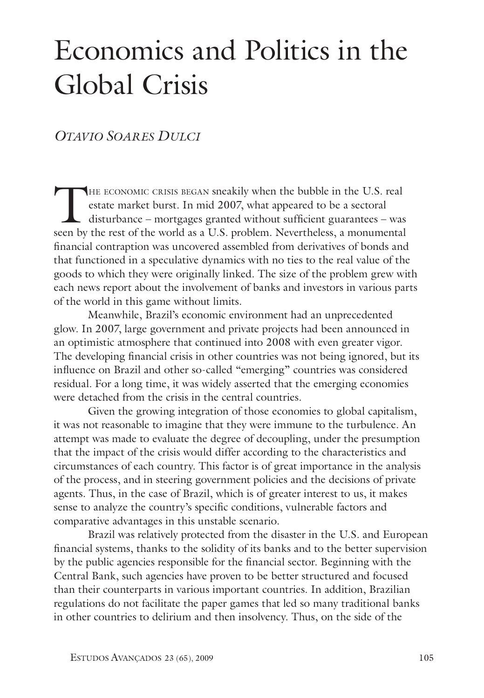# Economics and Politics in the Global Crisis

## *Otavio Soares Dulci*

THE ECONOMIC CRISIS BEGAN sneakily when the bubble in the U.S. real<br>estate market burst. In mid 2007, what appeared to be a sectoral<br>disturbance – mortgages granted without sufficient guarantees – was<br>seen by the rest of t estate market burst. In mid 2007, what appeared to be a sectoral disturbance – mortgages granted without sufficient guarantees – was seen by the rest of the world as a U.S. problem. Nevertheless, a monumental financial contraption was uncovered assembled from derivatives of bonds and that functioned in a speculative dynamics with no ties to the real value of the goods to which they were originally linked. The size of the problem grew with each news report about the involvement of banks and investors in various parts of the world in this game without limits.

Meanwhile, Brazil's economic environment had an unprecedented glow. In 2007, large government and private projects had been announced in an optimistic atmosphere that continued into 2008 with even greater vigor. The developing financial crisis in other countries was not being ignored, but its influence on Brazil and other so-called "emerging" countries was considered residual. For a long time, it was widely asserted that the emerging economies were detached from the crisis in the central countries.

Given the growing integration of those economies to global capitalism, it was not reasonable to imagine that they were immune to the turbulence. An attempt was made to evaluate the degree of decoupling, under the presumption that the impact of the crisis would differ according to the characteristics and circumstances of each country. This factor is of great importance in the analysis of the process, and in steering government policies and the decisions of private agents. Thus, in the case of Brazil, which is of greater interest to us, it makes sense to analyze the country's specific conditions, vulnerable factors and comparative advantages in this unstable scenario.

Brazil was relatively protected from the disaster in the U.S. and European financial systems, thanks to the solidity of its banks and to the better supervision by the public agencies responsible for the financial sector. Beginning with the Central Bank, such agencies have proven to be better structured and focused than their counterparts in various important countries. In addition, Brazilian regulations do not facilitate the paper games that led so many traditional banks in other countries to delirium and then insolvency. Thus, on the side of the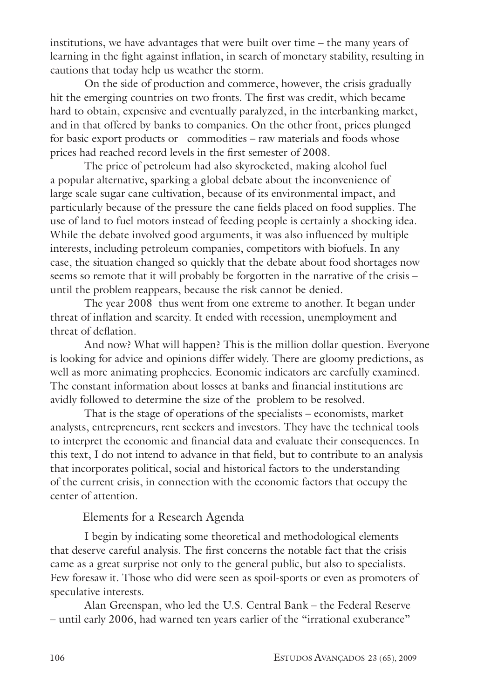institutions, we have advantages that were built over time – the many years of learning in the fight against inflation, in search of monetary stability, resulting in cautions that today help us weather the storm.

 On the side of production and commerce, however, the crisis gradually hit the emerging countries on two fronts. The first was credit, which became hard to obtain, expensive and eventually paralyzed, in the interbanking market, and in that offered by banks to companies. On the other front, prices plunged for basic export products or commodities – raw materials and foods whose prices had reached record levels in the first semester of 2008.

 The price of petroleum had also skyrocketed, making alcohol fuel a popular alternative, sparking a global debate about the inconvenience of large scale sugar cane cultivation, because of its environmental impact, and particularly because of the pressure the cane fields placed on food supplies. The use of land to fuel motors instead of feeding people is certainly a shocking idea. While the debate involved good arguments, it was also influenced by multiple interests, including petroleum companies, competitors with biofuels. In any case, the situation changed so quickly that the debate about food shortages now seems so remote that it will probably be forgotten in the narrative of the crisis – until the problem reappears, because the risk cannot be denied.

 The year 2008 thus went from one extreme to another. It began under threat of inflation and scarcity. It ended with recession, unemployment and threat of deflation.

 And now? What will happen? This is the million dollar question. Everyone is looking for advice and opinions differ widely. There are gloomy predictions, as well as more animating prophecies. Economic indicators are carefully examined. The constant information about losses at banks and financial institutions are avidly followed to determine the size of the problem to be resolved.

 That is the stage of operations of the specialists – economists, market analysts, entrepreneurs, rent seekers and investors. They have the technical tools to interpret the economic and financial data and evaluate their consequences. In this text, I do not intend to advance in that field, but to contribute to an analysis that incorporates political, social and historical factors to the understanding of the current crisis, in connection with the economic factors that occupy the center of attention.

#### Elements for a Research Agenda

I begin by indicating some theoretical and methodological elements that deserve careful analysis. The first concerns the notable fact that the crisis came as a great surprise not only to the general public, but also to specialists. Few foresaw it. Those who did were seen as spoil-sports or even as promoters of speculative interests.

 Alan Greenspan, who led the U.S. Central Bank – the Federal Reserve – until early 2006, had warned ten years earlier of the "irrational exuberance"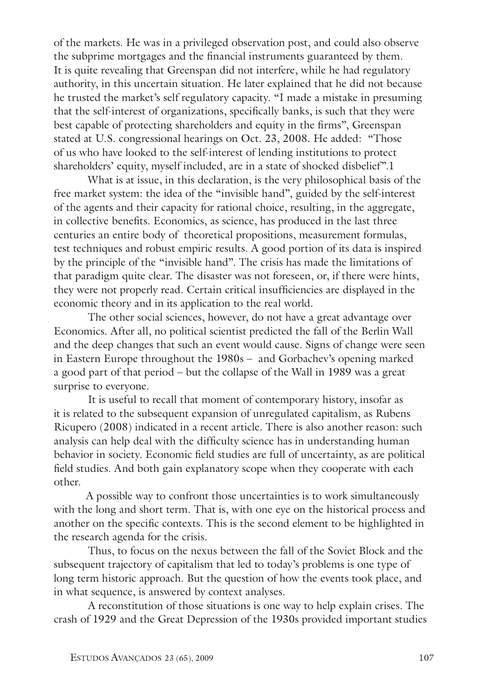of the markets. He was in a privileged observation post, and could also observe the subprime mortgages and the financial instruments guaranteed by them. It is quite revealing that Greenspan did not interfere, while he had regulatory authority, in this uncertain situation. He later explained that he did not because he trusted the market's self regulatory capacity. "I made a mistake in presuming that the self-interest of organizations, specifically banks, is such that they were best capable of protecting shareholders and equity in the firms", Greenspan stated at U.S. congressional hearings on Oct. 23, 2008. He added: "Those of us who have looked to the self-interest of lending institutions to protect shareholders' equity, myself included, are in a state of shocked disbelief".1

What is at issue, in this declaration, is the very philosophical basis of the free market system: the idea of the "invisible hand", guided by the self-interest of the agents and their capacity for rational choice, resulting, in the aggregate, in collective benefits. Economics, as science, has produced in the last three centuries an entire body of theoretical propositions, measurement formulas, test techniques and robust empiric results. A good portion of its data is inspired by the principle of the "invisible hand". The crisis has made the limitations of that paradigm quite clear. The disaster was not foreseen, or, if there were hints, they were not properly read. Certain critical insufficiencies are displayed in the economic theory and in its application to the real world.

 The other social sciences, however, do not have a great advantage over Economics. After all, no political scientist predicted the fall of the Berlin Wall and the deep changes that such an event would cause. Signs of change were seen in Eastern Europe throughout the 1980s – and Gorbachev's opening marked a good part of that period – but the collapse of the Wall in 1989 was a great surprise to everyone.

It is useful to recall that moment of contemporary history, insofar as it is related to the subsequent expansion of unregulated capitalism, as Rubens Ricupero (2008) indicated in a recent article. There is also another reason: such analysis can help deal with the difficulty science has in understanding human behavior in society. Economic field studies are full of uncertainty, as are political field studies. And both gain explanatory scope when they cooperate with each other.

A possible way to confront those uncertainties is to work simultaneously with the long and short term. That is, with one eye on the historical process and another on the specific contexts. This is the second element to be highlighted in the research agenda for the crisis.

 Thus, to focus on the nexus between the fall of the Soviet Block and the subsequent trajectory of capitalism that led to today's problems is one type of long term historic approach. But the question of how the events took place, and in what sequence, is answered by context analyses.

 A reconstitution of those situations is one way to help explain crises. The crash of 1929 and the Great Depression of the 1930s provided important studies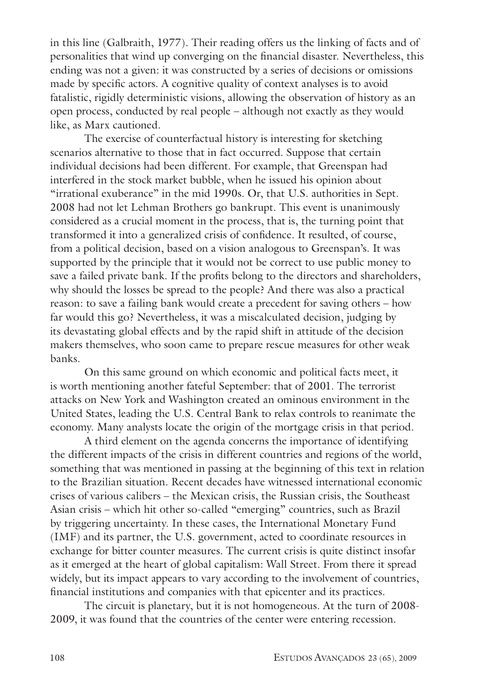in this line (Galbraith, 1977). Their reading offers us the linking of facts and of personalities that wind up converging on the financial disaster. Nevertheless, this ending was not a given: it was constructed by a series of decisions or omissions made by specific actors. A cognitive quality of context analyses is to avoid fatalistic, rigidly deterministic visions, allowing the observation of history as an open process, conducted by real people – although not exactly as they would like, as Marx cautioned.

The exercise of counterfactual history is interesting for sketching scenarios alternative to those that in fact occurred. Suppose that certain individual decisions had been different. For example, that Greenspan had interfered in the stock market bubble, when he issued his opinion about "irrational exuberance" in the mid 1990s. Or, that U.S. authorities in Sept. 2008 had not let Lehman Brothers go bankrupt. This event is unanimously considered as a crucial moment in the process, that is, the turning point that transformed it into a generalized crisis of confidence. It resulted, of course, from a political decision, based on a vision analogous to Greenspan's. It was supported by the principle that it would not be correct to use public money to save a failed private bank. If the profits belong to the directors and shareholders, why should the losses be spread to the people? And there was also a practical reason: to save a failing bank would create a precedent for saving others – how far would this go? Nevertheless, it was a miscalculated decision, judging by its devastating global effects and by the rapid shift in attitude of the decision makers themselves, who soon came to prepare rescue measures for other weak banks.

 On this same ground on which economic and political facts meet, it is worth mentioning another fateful September: that of 2001. The terrorist attacks on New York and Washington created an ominous environment in the United States, leading the U.S. Central Bank to relax controls to reanimate the economy. Many analysts locate the origin of the mortgage crisis in that period.

 A third element on the agenda concerns the importance of identifying the different impacts of the crisis in different countries and regions of the world, something that was mentioned in passing at the beginning of this text in relation to the Brazilian situation. Recent decades have witnessed international economic crises of various calibers – the Mexican crisis, the Russian crisis, the Southeast Asian crisis – which hit other so-called "emerging" countries, such as Brazil by triggering uncertainty. In these cases, the International Monetary Fund (IMF) and its partner, the U.S. government, acted to coordinate resources in exchange for bitter counter measures. The current crisis is quite distinct insofar as it emerged at the heart of global capitalism: Wall Street. From there it spread widely, but its impact appears to vary according to the involvement of countries, financial institutions and companies with that epicenter and its practices.

 The circuit is planetary, but it is not homogeneous. At the turn of 2008- 2009, it was found that the countries of the center were entering recession.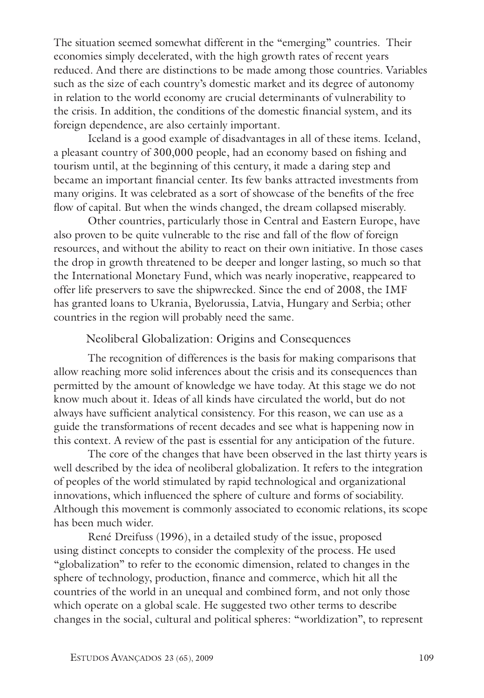The situation seemed somewhat different in the "emerging" countries. Their economies simply decelerated, with the high growth rates of recent years reduced. And there are distinctions to be made among those countries. Variables such as the size of each country's domestic market and its degree of autonomy in relation to the world economy are crucial determinants of vulnerability to the crisis. In addition, the conditions of the domestic financial system, and its foreign dependence, are also certainly important.

Iceland is a good example of disadvantages in all of these items. Iceland, a pleasant country of 300,000 people, had an economy based on fishing and tourism until, at the beginning of this century, it made a daring step and became an important financial center. Its few banks attracted investments from many origins. It was celebrated as a sort of showcase of the benefits of the free flow of capital. But when the winds changed, the dream collapsed miserably.

 Other countries, particularly those in Central and Eastern Europe, have also proven to be quite vulnerable to the rise and fall of the flow of foreign resources, and without the ability to react on their own initiative. In those cases the drop in growth threatened to be deeper and longer lasting, so much so that the International Monetary Fund, which was nearly inoperative, reappeared to offer life preservers to save the shipwrecked. Since the end of 2008, the IMF has granted loans to Ukrania, Byelorussia, Latvia, Hungary and Serbia; other countries in the region will probably need the same.

#### Neoliberal Globalization: Origins and Consequences

The recognition of differences is the basis for making comparisons that allow reaching more solid inferences about the crisis and its consequences than permitted by the amount of knowledge we have today. At this stage we do not know much about it. Ideas of all kinds have circulated the world, but do not always have sufficient analytical consistency. For this reason, we can use as a guide the transformations of recent decades and see what is happening now in this context. A review of the past is essential for any anticipation of the future.

 The core of the changes that have been observed in the last thirty years is well described by the idea of neoliberal globalization. It refers to the integration of peoples of the world stimulated by rapid technological and organizational innovations, which influenced the sphere of culture and forms of sociability. Although this movement is commonly associated to economic relations, its scope has been much wider.

René Dreifuss (1996), in a detailed study of the issue, proposed using distinct concepts to consider the complexity of the process. He used "globalization" to refer to the economic dimension, related to changes in the sphere of technology, production, finance and commerce, which hit all the countries of the world in an unequal and combined form, and not only those which operate on a global scale. He suggested two other terms to describe changes in the social, cultural and political spheres: "worldization", to represent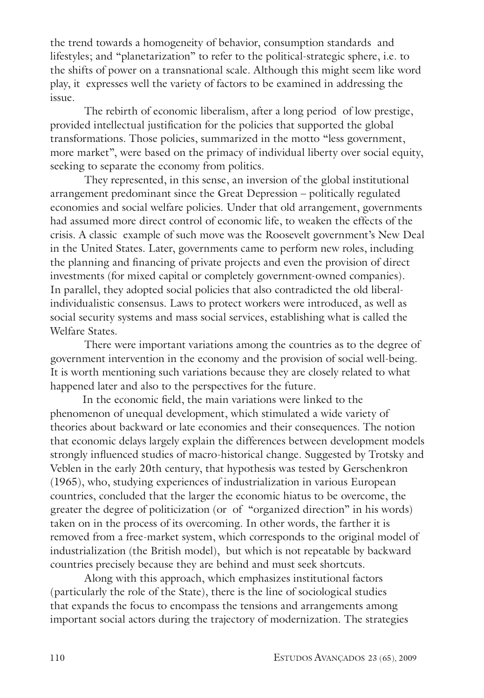the trend towards a homogeneity of behavior, consumption standards and lifestyles; and "planetarization" to refer to the political-strategic sphere, i.e. to the shifts of power on a transnational scale. Although this might seem like word play, it expresses well the variety of factors to be examined in addressing the issue.

The rebirth of economic liberalism, after a long period of low prestige, provided intellectual justification for the policies that supported the global transformations. Those policies, summarized in the motto "less government, more market", were based on the primacy of individual liberty over social equity, seeking to separate the economy from politics.

 They represented, in this sense, an inversion of the global institutional arrangement predominant since the Great Depression – politically regulated economies and social welfare policies. Under that old arrangement, governments had assumed more direct control of economic life, to weaken the effects of the crisis. A classic example of such move was the Roosevelt government's New Deal in the United States. Later, governments came to perform new roles, including the planning and financing of private projects and even the provision of direct investments (for mixed capital or completely government-owned companies). In parallel, they adopted social policies that also contradicted the old liberalindividualistic consensus. Laws to protect workers were introduced, as well as social security systems and mass social services, establishing what is called the Welfare States.

 There were important variations among the countries as to the degree of government intervention in the economy and the provision of social well-being. It is worth mentioning such variations because they are closely related to what happened later and also to the perspectives for the future.

In the economic field, the main variations were linked to the phenomenon of unequal development, which stimulated a wide variety of theories about backward or late economies and their consequences. The notion that economic delays largely explain the differences between development models strongly influenced studies of macro-historical change. Suggested by Trotsky and Veblen in the early 20th century, that hypothesis was tested by Gerschenkron (1965), who, studying experiences of industrialization in various European countries, concluded that the larger the economic hiatus to be overcome, the greater the degree of politicization (or of "organized direction" in his words) taken on in the process of its overcoming. In other words, the farther it is removed from a free-market system, which corresponds to the original model of industrialization (the British model), but which is not repeatable by backward countries precisely because they are behind and must seek shortcuts.

 Along with this approach, which emphasizes institutional factors (particularly the role of the State), there is the line of sociological studies that expands the focus to encompass the tensions and arrangements among important social actors during the trajectory of modernization. The strategies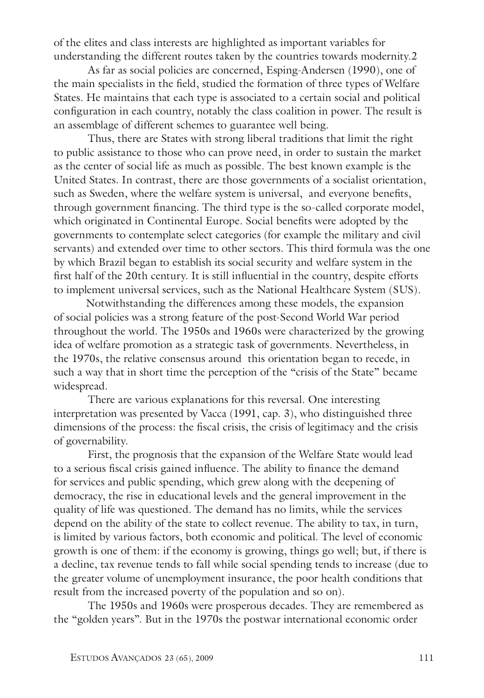of the elites and class interests are highlighted as important variables for understanding the different routes taken by the countries towards modernity.2

 As far as social policies are concerned, Esping-Andersen (1990), one of the main specialists in the field, studied the formation of three types of Welfare States. He maintains that each type is associated to a certain social and political configuration in each country, notably the class coalition in power. The result is an assemblage of different schemes to guarantee well being.

 Thus, there are States with strong liberal traditions that limit the right to public assistance to those who can prove need, in order to sustain the market as the center of social life as much as possible. The best known example is the United States. In contrast, there are those governments of a socialist orientation, such as Sweden, where the welfare system is universal, and everyone benefits, through government financing. The third type is the so-called corporate model, which originated in Continental Europe. Social benefits were adopted by the governments to contemplate select categories (for example the military and civil servants) and extended over time to other sectors. This third formula was the one by which Brazil began to establish its social security and welfare system in the first half of the 20th century. It is still influential in the country, despite efforts to implement universal services, such as the National Healthcare System (SUS).

Notwithstanding the differences among these models, the expansion of social policies was a strong feature of the post-Second World War period throughout the world. The 1950s and 1960s were characterized by the growing idea of welfare promotion as a strategic task of governments. Nevertheless, in the 1970s, the relative consensus around this orientation began to recede, in such a way that in short time the perception of the "crisis of the State" became widespread.

 There are various explanations for this reversal. One interesting interpretation was presented by Vacca (1991, cap. 3), who distinguished three dimensions of the process: the fiscal crisis, the crisis of legitimacy and the crisis of governability.

First, the prognosis that the expansion of the Welfare State would lead to a serious fiscal crisis gained influence. The ability to finance the demand for services and public spending, which grew along with the deepening of democracy, the rise in educational levels and the general improvement in the quality of life was questioned. The demand has no limits, while the services depend on the ability of the state to collect revenue. The ability to tax, in turn, is limited by various factors, both economic and political. The level of economic growth is one of them: if the economy is growing, things go well; but, if there is a decline, tax revenue tends to fall while social spending tends to increase (due to the greater volume of unemployment insurance, the poor health conditions that result from the increased poverty of the population and so on).

 The 1950s and 1960s were prosperous decades. They are remembered as the "golden years". But in the 1970s the postwar international economic order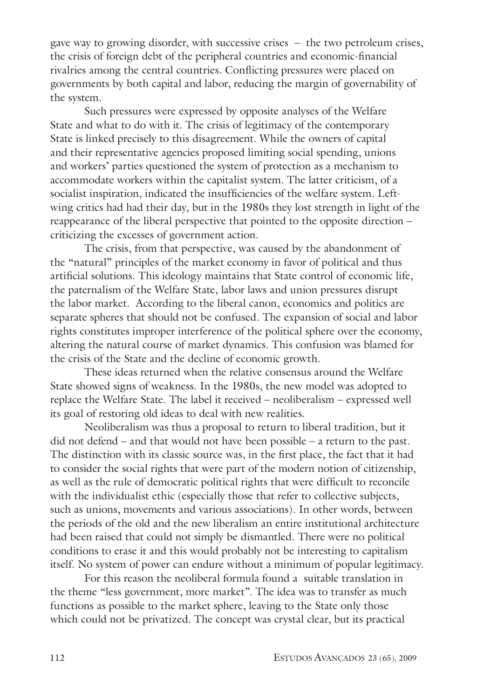gave way to growing disorder, with successive crises – the two petroleum crises, the crisis of foreign debt of the peripheral countries and economic-financial rivalries among the central countries. Conflicting pressures were placed on governments by both capital and labor, reducing the margin of governability of the system.

Such pressures were expressed by opposite analyses of the Welfare State and what to do with it. The crisis of legitimacy of the contemporary State is linked precisely to this disagreement. While the owners of capital and their representative agencies proposed limiting social spending, unions and workers' parties questioned the system of protection as a mechanism to accommodate workers within the capitalist system. The latter criticism, of a socialist inspiration, indicated the insufficiencies of the welfare system. Leftwing critics had had their day, but in the 1980s they lost strength in light of the reappearance of the liberal perspective that pointed to the opposite direction – criticizing the excesses of government action.

 The crisis, from that perspective, was caused by the abandonment of the "natural" principles of the market economy in favor of political and thus artificial solutions. This ideology maintains that State control of economic life, the paternalism of the Welfare State, labor laws and union pressures disrupt the labor market. According to the liberal canon, economics and politics are separate spheres that should not be confused. The expansion of social and labor rights constitutes improper interference of the political sphere over the economy, altering the natural course of market dynamics. This confusion was blamed for the crisis of the State and the decline of economic growth.

 These ideas returned when the relative consensus around the Welfare State showed signs of weakness. In the 1980s, the new model was adopted to replace the Welfare State. The label it received – neoliberalism – expressed well its goal of restoring old ideas to deal with new realities.

 Neoliberalism was thus a proposal to return to liberal tradition, but it did not defend – and that would not have been possible – a return to the past. The distinction with its classic source was, in the first place, the fact that it had to consider the social rights that were part of the modern notion of citizenship, as well as the rule of democratic political rights that were difficult to reconcile with the individualist ethic (especially those that refer to collective subjects, such as unions, movements and various associations). In other words, between the periods of the old and the new liberalism an entire institutional architecture had been raised that could not simply be dismantled. There were no political conditions to erase it and this would probably not be interesting to capitalism itself. No system of power can endure without a minimum of popular legitimacy.

For this reason the neoliberal formula found a suitable translation in the theme "less government, more market". The idea was to transfer as much functions as possible to the market sphere, leaving to the State only those which could not be privatized. The concept was crystal clear, but its practical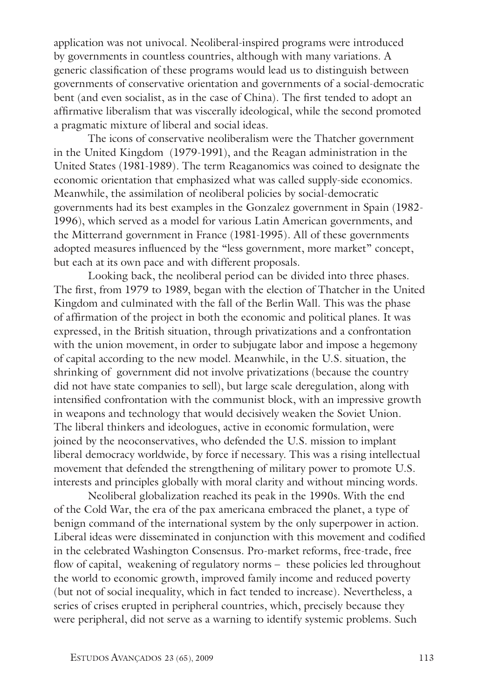application was not univocal. Neoliberal-inspired programs were introduced by governments in countless countries, although with many variations. A generic classification of these programs would lead us to distinguish between governments of conservative orientation and governments of a social-democratic bent (and even socialist, as in the case of China). The first tended to adopt an affirmative liberalism that was viscerally ideological, while the second promoted a pragmatic mixture of liberal and social ideas.

 The icons of conservative neoliberalism were the Thatcher government in the United Kingdom (1979-1991), and the Reagan administration in the United States (1981-1989). The term Reaganomics was coined to designate the economic orientation that emphasized what was called supply-side economics. Meanwhile, the assimilation of neoliberal policies by social-democratic governments had its best examples in the Gonzalez government in Spain (1982- 1996), which served as a model for various Latin American governments, and the Mitterrand government in France (1981-1995). All of these governments adopted measures influenced by the "less government, more market" concept, but each at its own pace and with different proposals.

Looking back, the neoliberal period can be divided into three phases. The first, from 1979 to 1989, began with the election of Thatcher in the United Kingdom and culminated with the fall of the Berlin Wall. This was the phase of affirmation of the project in both the economic and political planes. It was expressed, in the British situation, through privatizations and a confrontation with the union movement, in order to subjugate labor and impose a hegemony of capital according to the new model. Meanwhile, in the U.S. situation, the shrinking of government did not involve privatizations (because the country did not have state companies to sell), but large scale deregulation, along with intensified confrontation with the communist block, with an impressive growth in weapons and technology that would decisively weaken the Soviet Union. The liberal thinkers and ideologues, active in economic formulation, were joined by the neoconservatives, who defended the U.S. mission to implant liberal democracy worldwide, by force if necessary. This was a rising intellectual movement that defended the strengthening of military power to promote U.S. interests and principles globally with moral clarity and without mincing words.

 Neoliberal globalization reached its peak in the 1990s. With the end of the Cold War, the era of the pax americana embraced the planet, a type of benign command of the international system by the only superpower in action. Liberal ideas were disseminated in conjunction with this movement and codified in the celebrated Washington Consensus. Pro-market reforms, free-trade, free flow of capital, weakening of regulatory norms – these policies led throughout the world to economic growth, improved family income and reduced poverty (but not of social inequality, which in fact tended to increase). Nevertheless, a series of crises erupted in peripheral countries, which, precisely because they were peripheral, did not serve as a warning to identify systemic problems. Such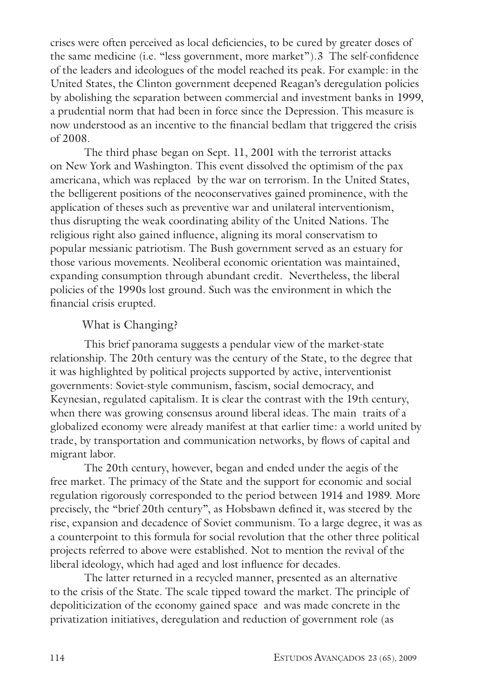crises were often perceived as local deficiencies, to be cured by greater doses of the same medicine (i.e. "less government, more market").3 The self-confidence of the leaders and ideologues of the model reached its peak. For example: in the United States, the Clinton government deepened Reagan's deregulation policies by abolishing the separation between commercial and investment banks in 1999, a prudential norm that had been in force since the Depression. This measure is now understood as an incentive to the financial bedlam that triggered the crisis of 2008.

The third phase began on Sept. 11, 2001 with the terrorist attacks on New York and Washington. This event dissolved the optimism of the pax americana, which was replaced by the war on terrorism. In the United States, the belligerent positions of the neoconservatives gained prominence, with the application of theses such as preventive war and unilateral interventionism, thus disrupting the weak coordinating ability of the United Nations. The religious right also gained influence, aligning its moral conservatism to popular messianic patriotism. The Bush government served as an estuary for those various movements. Neoliberal economic orientation was maintained, expanding consumption through abundant credit. Nevertheless, the liberal policies of the 1990s lost ground. Such was the environment in which the financial crisis erupted.

#### What is Changing?

This brief panorama suggests a pendular view of the market-state relationship. The 20th century was the century of the State, to the degree that it was highlighted by political projects supported by active, interventionist governments: Soviet-style communism, fascism, social democracy, and Keynesian, regulated capitalism. It is clear the contrast with the 19th century, when there was growing consensus around liberal ideas. The main traits of a globalized economy were already manifest at that earlier time: a world united by trade, by transportation and communication networks, by flows of capital and migrant labor.

 The 20th century, however, began and ended under the aegis of the free market. The primacy of the State and the support for economic and social regulation rigorously corresponded to the period between 1914 and 1989. More precisely, the "brief 20th century", as Hobsbawn defined it, was steered by the rise, expansion and decadence of Soviet communism. To a large degree, it was as a counterpoint to this formula for social revolution that the other three political projects referred to above were established. Not to mention the revival of the liberal ideology, which had aged and lost influence for decades.

 The latter returned in a recycled manner, presented as an alternative to the crisis of the State. The scale tipped toward the market. The principle of depoliticization of the economy gained space and was made concrete in the privatization initiatives, deregulation and reduction of government role (as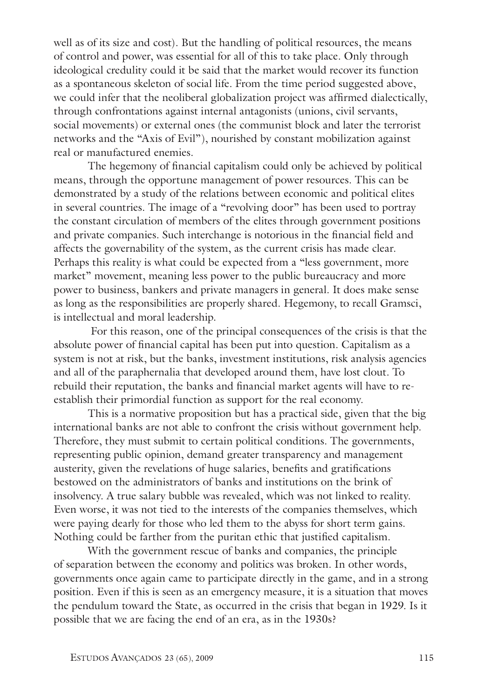well as of its size and cost). But the handling of political resources, the means of control and power, was essential for all of this to take place. Only through ideological credulity could it be said that the market would recover its function as a spontaneous skeleton of social life. From the time period suggested above, we could infer that the neoliberal globalization project was affirmed dialectically, through confrontations against internal antagonists (unions, civil servants, social movements) or external ones (the communist block and later the terrorist networks and the "Axis of Evil"), nourished by constant mobilization against real or manufactured enemies.

 The hegemony of financial capitalism could only be achieved by political means, through the opportune management of power resources. This can be demonstrated by a study of the relations between economic and political elites in several countries. The image of a "revolving door" has been used to portray the constant circulation of members of the elites through government positions and private companies. Such interchange is notorious in the financial field and affects the governability of the system, as the current crisis has made clear. Perhaps this reality is what could be expected from a "less government, more market" movement, meaning less power to the public bureaucracy and more power to business, bankers and private managers in general. It does make sense as long as the responsibilities are properly shared. Hegemony, to recall Gramsci, is intellectual and moral leadership.

 For this reason, one of the principal consequences of the crisis is that the absolute power of financial capital has been put into question. Capitalism as a system is not at risk, but the banks, investment institutions, risk analysis agencies and all of the paraphernalia that developed around them, have lost clout. To rebuild their reputation, the banks and financial market agents will have to reestablish their primordial function as support for the real economy.

 This is a normative proposition but has a practical side, given that the big international banks are not able to confront the crisis without government help. Therefore, they must submit to certain political conditions. The governments, representing public opinion, demand greater transparency and management austerity, given the revelations of huge salaries, benefits and gratifications bestowed on the administrators of banks and institutions on the brink of insolvency. A true salary bubble was revealed, which was not linked to reality. Even worse, it was not tied to the interests of the companies themselves, which were paying dearly for those who led them to the abyss for short term gains. Nothing could be farther from the puritan ethic that justified capitalism.

With the government rescue of banks and companies, the principle of separation between the economy and politics was broken. In other words, governments once again came to participate directly in the game, and in a strong position. Even if this is seen as an emergency measure, it is a situation that moves the pendulum toward the State, as occurred in the crisis that began in 1929. Is it possible that we are facing the end of an era, as in the 1930s?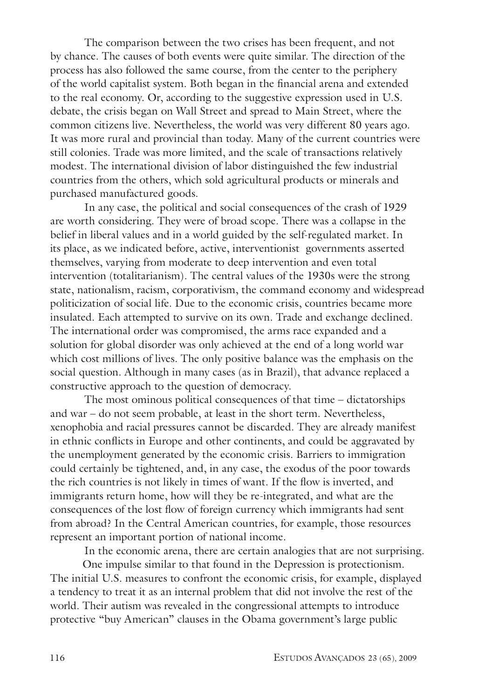The comparison between the two crises has been frequent, and not by chance. The causes of both events were quite similar. The direction of the process has also followed the same course, from the center to the periphery of the world capitalist system. Both began in the financial arena and extended to the real economy. Or, according to the suggestive expression used in U.S. debate, the crisis began on Wall Street and spread to Main Street, where the common citizens live. Nevertheless, the world was very different 80 years ago. It was more rural and provincial than today. Many of the current countries were still colonies. Trade was more limited, and the scale of transactions relatively modest. The international division of labor distinguished the few industrial countries from the others, which sold agricultural products or minerals and purchased manufactured goods.

In any case, the political and social consequences of the crash of 1929 are worth considering. They were of broad scope. There was a collapse in the belief in liberal values and in a world guided by the self-regulated market. In its place, as we indicated before, active, interventionist governments asserted themselves, varying from moderate to deep intervention and even total intervention (totalitarianism). The central values of the 1930s were the strong state, nationalism, racism, corporativism, the command economy and widespread politicization of social life. Due to the economic crisis, countries became more insulated. Each attempted to survive on its own. Trade and exchange declined. The international order was compromised, the arms race expanded and a solution for global disorder was only achieved at the end of a long world war which cost millions of lives. The only positive balance was the emphasis on the social question. Although in many cases (as in Brazil), that advance replaced a constructive approach to the question of democracy.

 The most ominous political consequences of that time – dictatorships and war – do not seem probable, at least in the short term. Nevertheless, xenophobia and racial pressures cannot be discarded. They are already manifest in ethnic conflicts in Europe and other continents, and could be aggravated by the unemployment generated by the economic crisis. Barriers to immigration could certainly be tightened, and, in any case, the exodus of the poor towards the rich countries is not likely in times of want. If the flow is inverted, and immigrants return home, how will they be re-integrated, and what are the consequences of the lost flow of foreign currency which immigrants had sent from abroad? In the Central American countries, for example, those resources represent an important portion of national income.

In the economic arena, there are certain analogies that are not surprising.

One impulse similar to that found in the Depression is protectionism. The initial U.S. measures to confront the economic crisis, for example, displayed a tendency to treat it as an internal problem that did not involve the rest of the world. Their autism was revealed in the congressional attempts to introduce protective "buy American" clauses in the Obama government's large public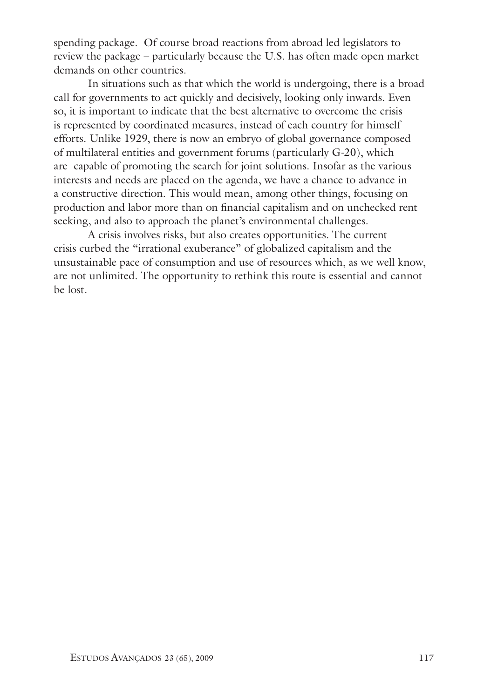spending package. Of course broad reactions from abroad led legislators to review the package – particularly because the U.S. has often made open market demands on other countries.

In situations such as that which the world is undergoing, there is a broad call for governments to act quickly and decisively, looking only inwards. Even so, it is important to indicate that the best alternative to overcome the crisis is represented by coordinated measures, instead of each country for himself efforts. Unlike 1929, there is now an embryo of global governance composed of multilateral entities and government forums (particularly G-20), which are capable of promoting the search for joint solutions. Insofar as the various interests and needs are placed on the agenda, we have a chance to advance in a constructive direction. This would mean, among other things, focusing on production and labor more than on financial capitalism and on unchecked rent seeking, and also to approach the planet's environmental challenges.

 A crisis involves risks, but also creates opportunities. The current crisis curbed the "irrational exuberance" of globalized capitalism and the unsustainable pace of consumption and use of resources which, as we well know, are not unlimited. The opportunity to rethink this route is essential and cannot be lost.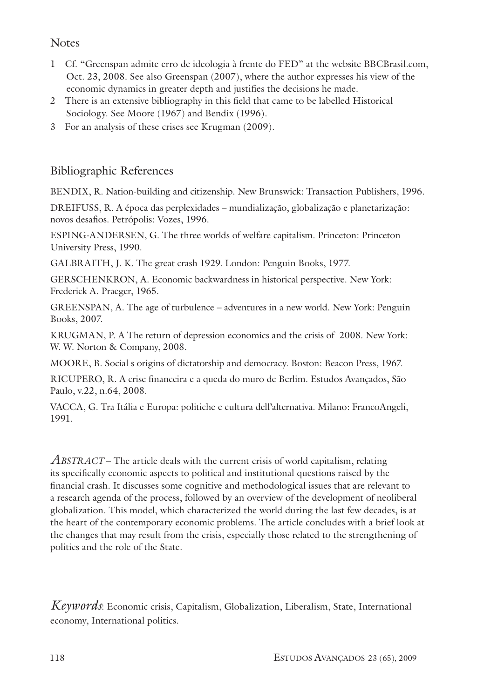## **Notes**

- 1 Cf. "Greenspan admite erro de ideologia à frente do FED" at the website BBCBrasil.com, Oct. 23, 2008. See also Greenspan (2007), where the author expresses his view of the economic dynamics in greater depth and justifies the decisions he made.
- 2 There is an extensive bibliography in this field that came to be labelled Historical Sociology. See Moore (1967) and Bendix (1996).
- 3 For an analysis of these crises see Krugman (2009).

### Bibliographic References

BENDIX, R. Nation-building and citizenship. New Brunswick: Transaction Publishers, 1996.

DREIFUSS, R. A época das perplexidades – mundialização, globalização e planetarização: novos desafios. Petrópolis: Vozes, 1996.

ESPING-ANDERSEN, G. The three worlds of welfare capitalism. Princeton: Princeton University Press, 1990.

GALBRAITH, J. K. The great crash 1929. London: Penguin Books, 1977.

GERSCHENKRON, A. Economic backwardness in historical perspective. New York: Frederick A. Praeger, 1965.

GREENSPAN, A. The age of turbulence – adventures in a new world. New York: Penguin Books, 2007.

KRUGMAN, P. A The return of depression economics and the crisis of 2008. New York: W. W. Norton & Company, 2008.

MOORE, B. Social s origins of dictatorship and democracy. Boston: Beacon Press, 1967.

RICUPERO, R. A crise financeira e a queda do muro de Berlim. Estudos Avançados, São Paulo, v.22, n.64, 2008.

VACCA, G. Tra Itália e Europa: politiche e cultura dell'alternativa. Milano: FrancoAngeli, 1991.

*Abstract* – The article deals with the current crisis of world capitalism, relating its specifically economic aspects to political and institutional questions raised by the financial crash. It discusses some cognitive and methodological issues that are relevant to a research agenda of the process, followed by an overview of the development of neoliberal globalization. This model, which characterized the world during the last few decades, is at the heart of the contemporary economic problems. The article concludes with a brief look at the changes that may result from the crisis, especially those related to the strengthening of politics and the role of the State.

*Keywords*: Economic crisis, Capitalism, Globalization, Liberalism, State, International economy, International politics.